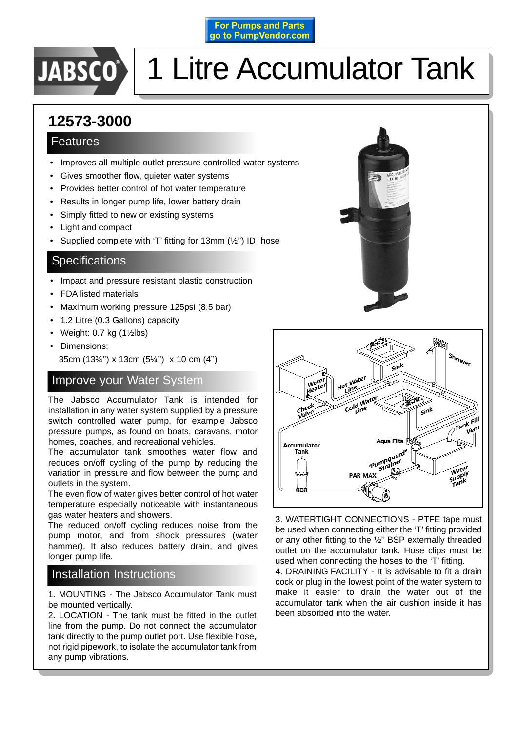

## JABSCO<sup>3</sup> 1 Litre Accumulator Tank

### **12573-3000**

#### Features

- Improves all multiple outlet pressure controlled water systems
- Gives smoother flow, quieter water systems
- Provides better control of hot water temperature
- Results in longer pump life, lower battery drain
- Simply fitted to new or existing systems
- Light and compact
- Supplied complete with 'T' fitting for 13mm (½'') ID hose

### **Specifications**

- Impact and pressure resistant plastic construction
- FDA listed materials
- Maximum working pressure 125psi (8.5 bar)
- 1.2 Litre (0.3 Gallons) capacity
- Weight: 0.7 kg (1½lbs)
- Dimensions: 35cm (13¾'') x 13cm (5¼'') x 10 cm (4'')

### Improve your Water System

The Jabsco Accumulator Tank is intended for installation in any water system supplied by a pressure switch controlled water pump, for example Jabsco pressure pumps, as found on boats, caravans, motor homes, coaches, and recreational vehicles.

The accumulator tank smoothes water flow and reduces on/off cycling of the pump by reducing the variation in pressure and flow between the pump and outlets in the system.

The even flow of water gives better control of hot water temperature especially noticeable with instantaneous gas water heaters and showers.

The reduced on/off cycling reduces noise from the pump motor, and from shock pressures (water hammer). It also reduces battery drain, and gives longer pump life.

### Installation Instructions

1. MOUNTING - The Jabsco Accumulator Tank must be mounted vertically.

2. LOCATION - The tank must be fitted in the outlet line from the pump. Do not connect the accumulator tank directly to the pump outlet port. Use flexible hose, not rigid pipework, to isolate the accumulator tank from any pump vibrations.





3. WATERTIGHT CONNECTIONS - PTFE tape must be used when connecting either the 'T' fitting provided or any other fitting to the ½'' BSP externally threaded outlet on the accumulator tank. Hose clips must be used when connecting the hoses to the 'T' fitting.

4. DRAINING FACILITY - It is advisable to fit a drain cock or plug in the lowest point of the water system to make it easier to drain the water out of the accumulator tank when the air cushion inside it has been absorbed into the water.